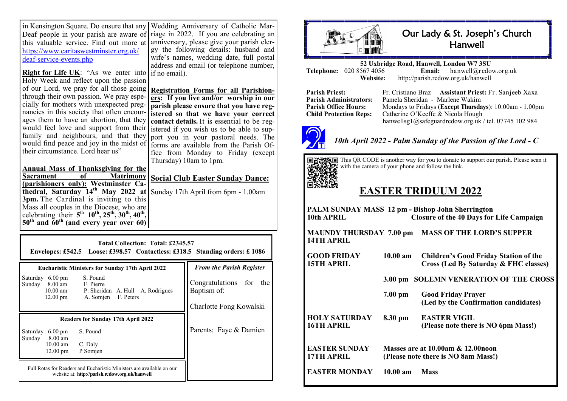in Kensington Square. Do ensure that any Deaf people in your parish are aware of this valuable service. Find out more at [https://www.caritaswestminster.org.uk/](https://www.caritaswestminster.org.uk/deaf-service-events.php) deaf-service-[events.php](https://www.caritaswestminster.org.uk/deaf-service-events.php) Wedding Anniversary of Catholic Mar-

**Right for Life UK:** "As we enter into if no email). Holy Week and reflect upon the passion of our Lord, we pray for all those going **Registration Forms for all Parishion**through their own passion. We pray especially for mothers with unexpected pregnancies in this society that often encourages them to have an abortion, that they would feel love and support from their family and neighbours, and that they would find peace and joy in the midst of their circumstance. Lord hear us"

riage in 2022. If you are celebrating an anniversary, please give your parish clergy the following details: husband and wife's names, wedding date, full postal address and email (or telephone number,

**ers: If you live and/or worship in our parish please ensure that you have registered so that we have your correct contact details.** It is essential to be registered if you wish us to be able to support you in your pastoral needs. The forms are available from the Parish Office from Monday to Friday (except Thursday) 10am to 1pm.

**Annual Mass of Thanksgiving for the Sacrament of Matrimony (parishioners only): Westminster Cathedral, Saturday 14th May 2022 at**  Sunday 17th April from 6pm - 1.00am **3pm.** The Cardinal is inviting to this Mass all couples in the Diocese, who are celebrating their  $5^{th}$   $10^{th}$ ,  $25^{th}$ ,  $30^{th}$ ,  $40^{th}$ , **50th and 60th (and every year over 60)**

**Social Club Easter Sunday Dance:** 

| Total Collection: Total: £2345.57<br><b>Envelopes: £542.5</b> Loose: £398.57 Contactless: £318.5 Standing orders: £1086                                               |                                                                   |  |  |
|-----------------------------------------------------------------------------------------------------------------------------------------------------------------------|-------------------------------------------------------------------|--|--|
| <b>Eucharistic Ministers for Sunday 17th April 2022</b>                                                                                                               | <b>From the Parish Register</b>                                   |  |  |
| $6.00 \text{ pm}$<br>S. Pound<br>Saturday<br>8.00 am<br>Sunday<br>F. Pierre<br>10.00 am P. Sheridan A. Hull A. Rodrigues<br>$12.00 \text{ pm}$<br>A. Somjen F. Peters | Congratulations for the<br>Baptism of:<br>Charlotte Fong Kowalski |  |  |
| <b>Readers for Sunday 17th April 2022</b>                                                                                                                             |                                                                   |  |  |
| S. Pound<br>Saturday<br>$6.00 \text{ pm}$<br>8.00 am<br>Sunday<br>$10.00$ am<br>C. Daly<br>$12.00 \text{ pm}$<br>P Somjen                                             | Parents: Faye & Damien                                            |  |  |
| Full Rotas for Readers and Eucharistic Ministers are available on our<br>website at: http://parish.rcdow.org.uk/hanwell                                               |                                                                   |  |  |



## Our Lady & St. Joseph's Church **Hanwell**

**52 Uxbridge Road, Hanwell, London W7 3SU Telephone:** 020 8567 4056<br>**Website: Website:** http://parish.rcdow.org.uk/hanwell

**Parish Priest:** Fr. Cristiano Braz **Assistant Priest:** Fr. Sanjeeb Xaxa **Parish Administrators:** Pamela Sheridan - Marlene Wakim<br>**Parish Office Hours:** Mondays to Fridays (Except Thursda **Parish Office Hours:** Mondays to Fridays (**Except Thursdays**): 10.00am - 1.00pm<br> **Child Protection Rens:** Catherine O'Keeffe & Nicola Hough Catherine O'Keeffe & Nicola Hough hanwellsg1@safeguardrcdow.org.uk / tel. 07745 102 984



*10th April 2022 - Palm Sunday of the Passion of the Lord - C*



This QR CODE is another way for you to donate to support our parish. Please scan it with the camera of your phone and follow the link.

# **EASTER TRIDUUM 2022**

| 10th APRIL                         |                                                                          | PALM SUNDAY MASS 12 pm - Bishop John Sherrington<br><b>Closure of the 40 Days for Life Campaign</b> |
|------------------------------------|--------------------------------------------------------------------------|-----------------------------------------------------------------------------------------------------|
| 14TH APRIL                         |                                                                          | MAUNDY THURSDAY 7.00 pm MASS OF THE LORD'S SUPPER                                                   |
| GOOD FRIDAY<br><b>15TH APRIL</b>   | $10.00 \text{ am}$                                                       | <b>Children's Good Friday Station of the</b><br>Cross (Led By Saturday & FHC classes)               |
|                                    |                                                                          | 3.00 pm SOLEMN VENERATION OF THE CROSS                                                              |
|                                    | $7.00$ pm                                                                | <b>Good Friday Prayer</b><br>(Led by the Confirmation candidates)                                   |
| HOLY SATURDAY<br><b>16TH APRIL</b> | 8.30 pm                                                                  | <b>EASTER VIGIL</b><br>(Please note there is NO 6pm Mass!)                                          |
| <b>EASTER SUNDAY</b><br>17TH APRIL | Masses are at 10.00am & 12.00noon<br>(Please note there is NO 8am Mass!) |                                                                                                     |
| <b>EASTER MONDAY</b>               | $10.00 \text{ am}$                                                       | <b>Mass</b>                                                                                         |
|                                    |                                                                          |                                                                                                     |